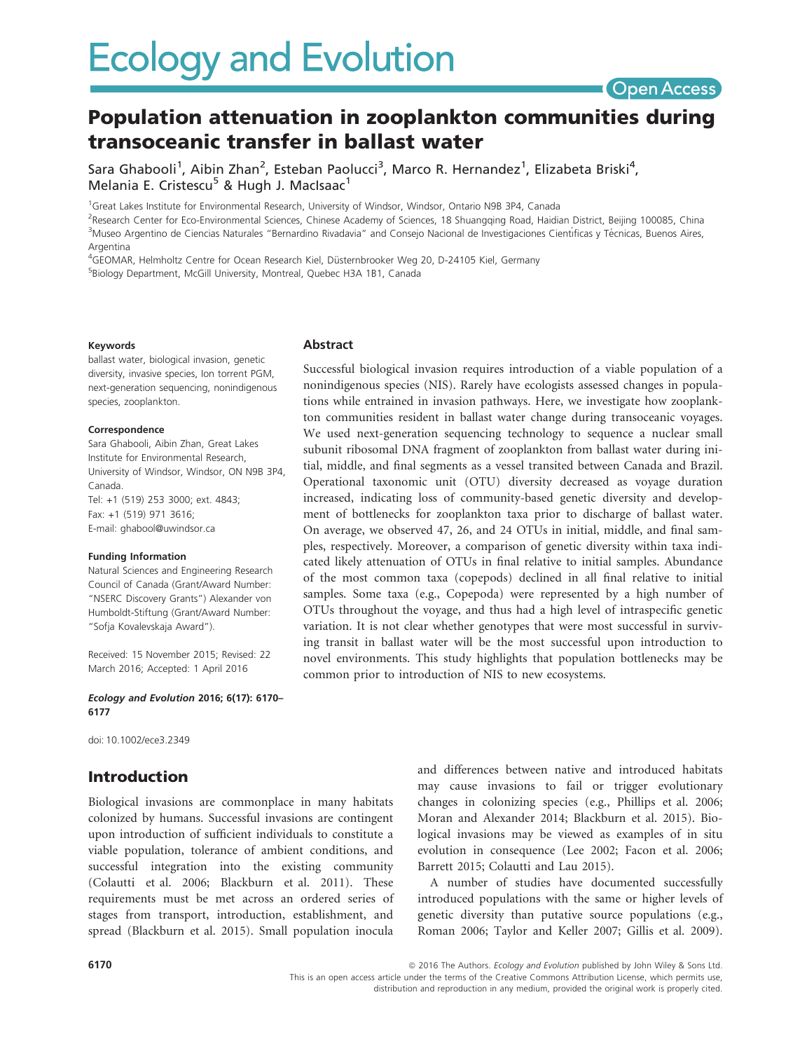# **Open Access**

# Population attenuation in zooplankton communities during transoceanic transfer in ballast water

Sara Ghabooli<sup>1</sup>, Aibin Zhan<sup>2</sup>, Esteban Paolucci<sup>3</sup>, Marco R. Hernandez<sup>1</sup>, Elizabeta Briski<sup>4</sup>, Melania E. Cristescu<sup>5</sup> & Hugh J. MacIsaac<sup>1</sup>

<sup>1</sup>Great Lakes Institute for Environmental Research, University of Windsor, Windsor, Ontario N9B 3P4, Canada

<sup>2</sup>Research Center for Eco-Environmental Sciences, Chinese Academy of Sciences, 18 Shuangqing Road, Haidian District, Beijing 100085, China <sup>3</sup>Museo Argentino de Ciencias Naturales "Bernardino Rivadavia" and Consejo Nacional de Investigaciones Científicas y Técnicas, Buenos Aires, Argentina

<sup>4</sup>GEOMAR, Helmholtz Centre for Ocean Research Kiel, Düsternbrooker Weg 20, D-24105 Kiel, Germany

5 Biology Department, McGill University, Montreal, Quebec H3A 1B1, Canada

#### Keywords

ballast water, biological invasion, genetic diversity, invasive species, Ion torrent PGM, next-generation sequencing, nonindigenous species, zooplankton.

#### Correspondence

Sara Ghabooli, Aibin Zhan, Great Lakes Institute for Environmental Research, University of Windsor, Windsor, ON N9B 3P4, Canada. Tel: +1 (519) 253 3000; ext. 4843; Fax: +1 (519) 971 3616; E-mail: ghabool@uwindsor.ca

#### Funding Information

Natural Sciences and Engineering Research Council of Canada (Grant/Award Number: "NSERC Discovery Grants") Alexander von Humboldt-Stiftung (Grant/Award Number: "Sofja Kovalevskaja Award").

Received: 15 November 2015; Revised: 22 March 2016; Accepted: 1 April 2016

Ecology and Evolution 2016; 6(17): 6170– 6177

doi: 10.1002/ece3.2349

### Introduction

Biological invasions are commonplace in many habitats colonized by humans. Successful invasions are contingent upon introduction of sufficient individuals to constitute a viable population, tolerance of ambient conditions, and successful integration into the existing community (Colautti et al. 2006; Blackburn et al. 2011). These requirements must be met across an ordered series of stages from transport, introduction, establishment, and spread (Blackburn et al. 2015). Small population inocula

### Abstract

Successful biological invasion requires introduction of a viable population of a nonindigenous species (NIS). Rarely have ecologists assessed changes in populations while entrained in invasion pathways. Here, we investigate how zooplankton communities resident in ballast water change during transoceanic voyages. We used next-generation sequencing technology to sequence a nuclear small subunit ribosomal DNA fragment of zooplankton from ballast water during initial, middle, and final segments as a vessel transited between Canada and Brazil. Operational taxonomic unit (OTU) diversity decreased as voyage duration increased, indicating loss of community-based genetic diversity and development of bottlenecks for zooplankton taxa prior to discharge of ballast water. On average, we observed 47, 26, and 24 OTUs in initial, middle, and final samples, respectively. Moreover, a comparison of genetic diversity within taxa indicated likely attenuation of OTUs in final relative to initial samples. Abundance of the most common taxa (copepods) declined in all final relative to initial samples. Some taxa (e.g., Copepoda) were represented by a high number of OTUs throughout the voyage, and thus had a high level of intraspecific genetic variation. It is not clear whether genotypes that were most successful in surviving transit in ballast water will be the most successful upon introduction to novel environments. This study highlights that population bottlenecks may be common prior to introduction of NIS to new ecosystems.

> and differences between native and introduced habitats may cause invasions to fail or trigger evolutionary changes in colonizing species (e.g., Phillips et al. 2006; Moran and Alexander 2014; Blackburn et al. 2015). Biological invasions may be viewed as examples of in situ evolution in consequence (Lee 2002; Facon et al. 2006; Barrett 2015; Colautti and Lau 2015).

> A number of studies have documented successfully introduced populations with the same or higher levels of genetic diversity than putative source populations (e.g., Roman 2006; Taylor and Keller 2007; Gillis et al. 2009).

6170 **6170 and Structure 2016** The Authors. Ecology and Evolution published by John Wiley & Sons Ltd. This is an open access article under the terms of the Creative Commons Attribution License, which permits use, distribution and reproduction in any medium, provided the original work is properly cited.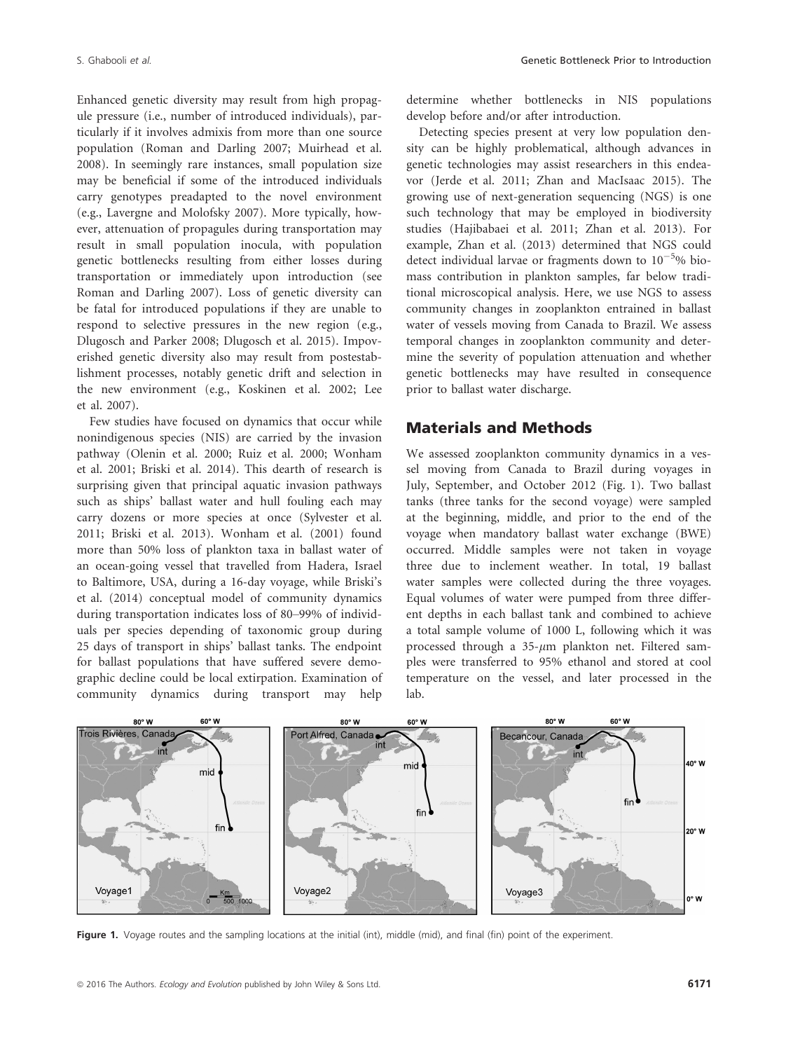Enhanced genetic diversity may result from high propagule pressure (i.e., number of introduced individuals), particularly if it involves admixis from more than one source population (Roman and Darling 2007; Muirhead et al. 2008). In seemingly rare instances, small population size may be beneficial if some of the introduced individuals carry genotypes preadapted to the novel environment (e.g., Lavergne and Molofsky 2007). More typically, however, attenuation of propagules during transportation may result in small population inocula, with population genetic bottlenecks resulting from either losses during transportation or immediately upon introduction (see Roman and Darling 2007). Loss of genetic diversity can be fatal for introduced populations if they are unable to respond to selective pressures in the new region (e.g., Dlugosch and Parker 2008; Dlugosch et al. 2015). Impoverished genetic diversity also may result from postestablishment processes, notably genetic drift and selection in the new environment (e.g., Koskinen et al. 2002; Lee et al. 2007).

Few studies have focused on dynamics that occur while nonindigenous species (NIS) are carried by the invasion pathway (Olenin et al. 2000; Ruiz et al. 2000; Wonham et al. 2001; Briski et al. 2014). This dearth of research is surprising given that principal aquatic invasion pathways such as ships' ballast water and hull fouling each may carry dozens or more species at once (Sylvester et al. 2011; Briski et al. 2013). Wonham et al. (2001) found more than 50% loss of plankton taxa in ballast water of an ocean-going vessel that travelled from Hadera, Israel to Baltimore, USA, during a 16-day voyage, while Briski's et al. (2014) conceptual model of community dynamics during transportation indicates loss of 80–99% of individuals per species depending of taxonomic group during 25 days of transport in ships' ballast tanks. The endpoint for ballast populations that have suffered severe demographic decline could be local extirpation. Examination of community dynamics during transport may help determine whether bottlenecks in NIS populations develop before and/or after introduction.

Detecting species present at very low population density can be highly problematical, although advances in genetic technologies may assist researchers in this endeavor (Jerde et al. 2011; Zhan and MacIsaac 2015). The growing use of next-generation sequencing (NGS) is one such technology that may be employed in biodiversity studies (Hajibabaei et al. 2011; Zhan et al. 2013). For example, Zhan et al. (2013) determined that NGS could detect individual larvae or fragments down to  $10^{-5}$ % biomass contribution in plankton samples, far below traditional microscopical analysis. Here, we use NGS to assess community changes in zooplankton entrained in ballast water of vessels moving from Canada to Brazil. We assess temporal changes in zooplankton community and determine the severity of population attenuation and whether genetic bottlenecks may have resulted in consequence prior to ballast water discharge.

### Materials and Methods

We assessed zooplankton community dynamics in a vessel moving from Canada to Brazil during voyages in July, September, and October 2012 (Fig. 1). Two ballast tanks (three tanks for the second voyage) were sampled at the beginning, middle, and prior to the end of the voyage when mandatory ballast water exchange (BWE) occurred. Middle samples were not taken in voyage three due to inclement weather. In total, 19 ballast water samples were collected during the three voyages. Equal volumes of water were pumped from three different depths in each ballast tank and combined to achieve a total sample volume of 1000 L, following which it was processed through a  $35-\mu m$  plankton net. Filtered samples were transferred to 95% ethanol and stored at cool temperature on the vessel, and later processed in the lab.



Figure 1. Voyage routes and the sampling locations at the initial (int), middle (mid), and final (fin) point of the experiment.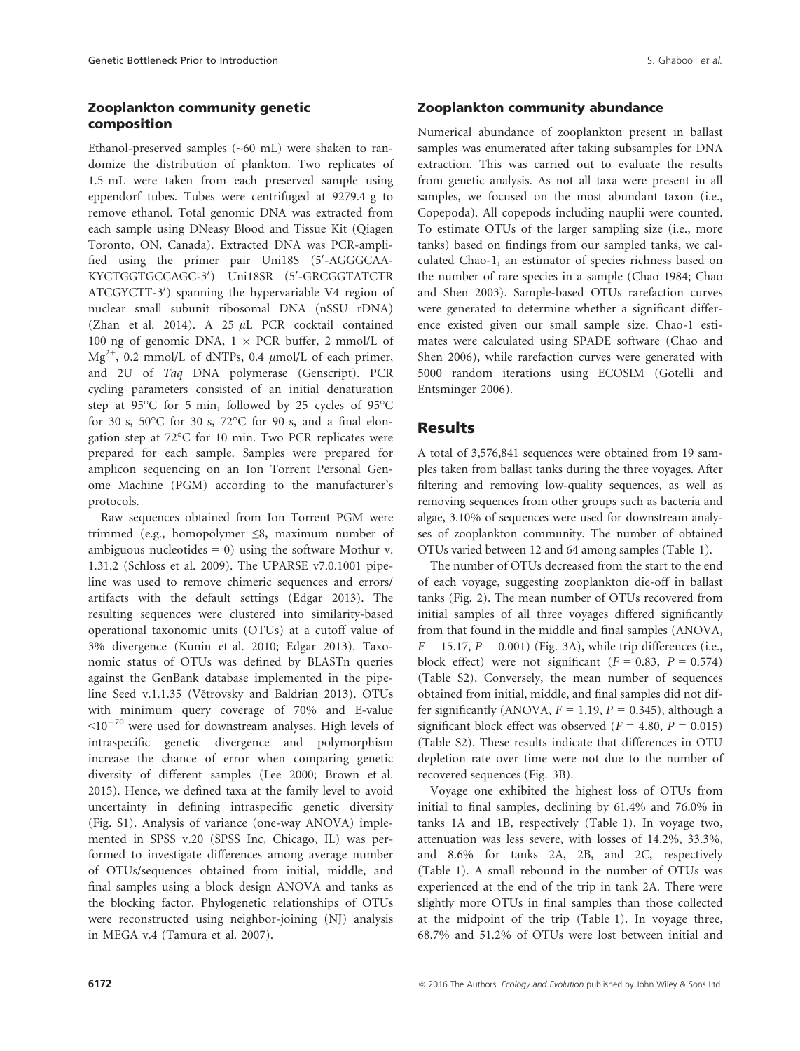### Zooplankton community genetic composition

Ethanol-preserved samples (~60 mL) were shaken to randomize the distribution of plankton. Two replicates of 1.5 mL were taken from each preserved sample using eppendorf tubes. Tubes were centrifuged at 9279.4 g to remove ethanol. Total genomic DNA was extracted from each sample using DNeasy Blood and Tissue Kit (Qiagen Toronto, ON, Canada). Extracted DNA was PCR-amplified using the primer pair Uni18S (5'-AGGGCAA-KYCTGGTGCCAGC-3')—Uni18SR (5'-GRCGGTATCTR ATCGYCTT-3') spanning the hypervariable V4 region of nuclear small subunit ribosomal DNA (nSSU rDNA) (Zhan et al. 2014). A 25  $\mu$ L PCR cocktail contained 100 ng of genomic DNA,  $1 \times PCR$  buffer, 2 mmol/L of  $Mg^{2+}$ , 0.2 mmol/L of dNTPs, 0.4  $\mu$ mol/L of each primer, and 2U of Taq DNA polymerase (Genscript). PCR cycling parameters consisted of an initial denaturation step at 95°C for 5 min, followed by 25 cycles of 95°C for 30 s, 50°C for 30 s, 72°C for 90 s, and a final elongation step at 72°C for 10 min. Two PCR replicates were prepared for each sample. Samples were prepared for amplicon sequencing on an Ion Torrent Personal Genome Machine (PGM) according to the manufacturer's protocols.

Raw sequences obtained from Ion Torrent PGM were trimmed (e.g., homopolymer ≤8, maximum number of ambiguous nucleotides  $= 0$ ) using the software Mothur v. 1.31.2 (Schloss et al. 2009). The UPARSE v7.0.1001 pipeline was used to remove chimeric sequences and errors/ artifacts with the default settings (Edgar 2013). The resulting sequences were clustered into similarity-based operational taxonomic units (OTUs) at a cutoff value of 3% divergence (Kunin et al. 2010; Edgar 2013). Taxonomic status of OTUs was defined by BLASTn queries against the GenBank database implemented in the pipeline Seed v.1.1.35 (Větrovsky and Baldrian 2013). OTUs with minimum query coverage of 70% and E-value  $\leq$ 10<sup>-70</sup> were used for downstream analyses. High levels of intraspecific genetic divergence and polymorphism increase the chance of error when comparing genetic diversity of different samples (Lee 2000; Brown et al. 2015). Hence, we defined taxa at the family level to avoid uncertainty in defining intraspecific genetic diversity (Fig. S1). Analysis of variance (one-way ANOVA) implemented in SPSS v.20 (SPSS Inc, Chicago, IL) was performed to investigate differences among average number of OTUs/sequences obtained from initial, middle, and final samples using a block design ANOVA and tanks as the blocking factor. Phylogenetic relationships of OTUs were reconstructed using neighbor-joining (NJ) analysis in MEGA v.4 (Tamura et al. 2007).

### Zooplankton community abundance

Numerical abundance of zooplankton present in ballast samples was enumerated after taking subsamples for DNA extraction. This was carried out to evaluate the results from genetic analysis. As not all taxa were present in all samples, we focused on the most abundant taxon (i.e., Copepoda). All copepods including nauplii were counted. To estimate OTUs of the larger sampling size (i.e., more tanks) based on findings from our sampled tanks, we calculated Chao-1, an estimator of species richness based on the number of rare species in a sample (Chao 1984; Chao and Shen 2003). Sample-based OTUs rarefaction curves were generated to determine whether a significant difference existed given our small sample size. Chao-1 estimates were calculated using SPADE software (Chao and Shen 2006), while rarefaction curves were generated with 5000 random iterations using ECOSIM (Gotelli and Entsminger 2006).

### Results

A total of 3,576,841 sequences were obtained from 19 samples taken from ballast tanks during the three voyages. After filtering and removing low-quality sequences, as well as removing sequences from other groups such as bacteria and algae, 3.10% of sequences were used for downstream analyses of zooplankton community. The number of obtained OTUs varied between 12 and 64 among samples (Table 1).

The number of OTUs decreased from the start to the end of each voyage, suggesting zooplankton die-off in ballast tanks (Fig. 2). The mean number of OTUs recovered from initial samples of all three voyages differed significantly from that found in the middle and final samples (ANOVA,  $F = 15.17$ ,  $P = 0.001$ ) (Fig. 3A), while trip differences (i.e., block effect) were not significant  $(F = 0.83, P = 0.574)$ (Table S2). Conversely, the mean number of sequences obtained from initial, middle, and final samples did not differ significantly (ANOVA,  $F = 1.19$ ,  $P = 0.345$ ), although a significant block effect was observed ( $F = 4.80$ ,  $P = 0.015$ ) (Table S2). These results indicate that differences in OTU depletion rate over time were not due to the number of recovered sequences (Fig. 3B).

Voyage one exhibited the highest loss of OTUs from initial to final samples, declining by 61.4% and 76.0% in tanks 1A and 1B, respectively (Table 1). In voyage two, attenuation was less severe, with losses of 14.2%, 33.3%, and 8.6% for tanks 2A, 2B, and 2C, respectively (Table 1). A small rebound in the number of OTUs was experienced at the end of the trip in tank 2A. There were slightly more OTUs in final samples than those collected at the midpoint of the trip (Table 1). In voyage three, 68.7% and 51.2% of OTUs were lost between initial and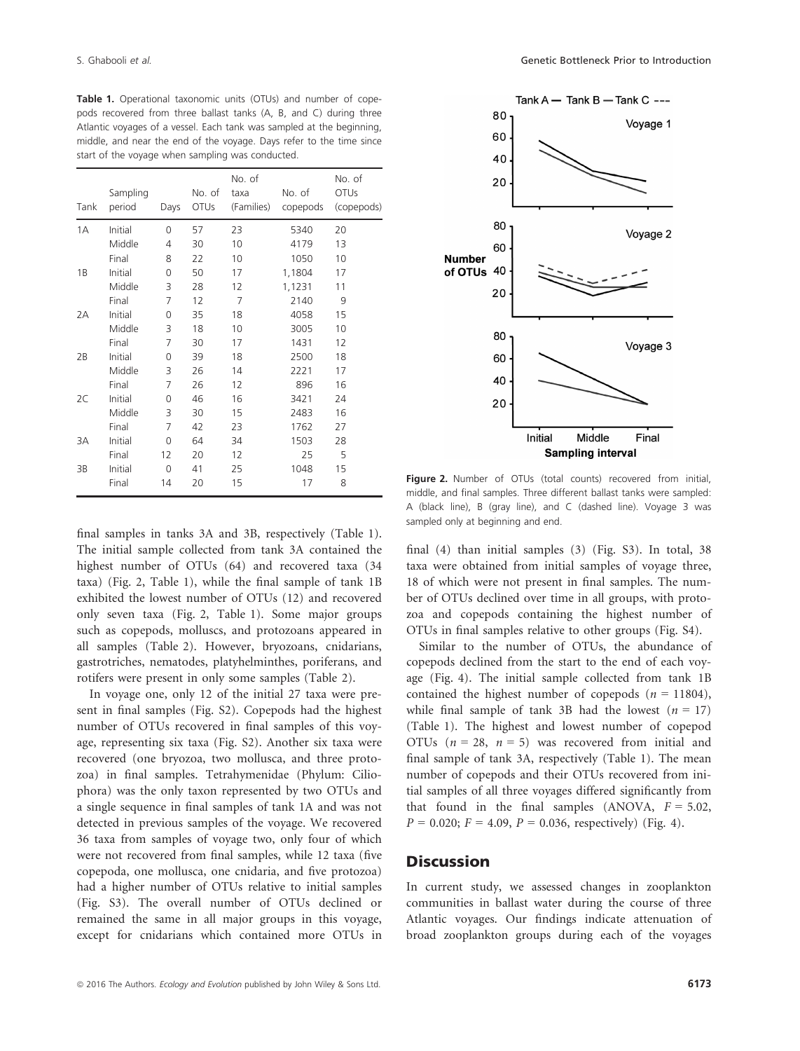Table 1. Operational taxonomic units (OTUs) and number of copepods recovered from three ballast tanks (A, B, and C) during three Atlantic voyages of a vessel. Each tank was sampled at the beginning, middle, and near the end of the voyage. Days refer to the time since start of the voyage when sampling was conducted.

| Tank | Sampling<br>period | Days | No. of<br><b>OTUs</b> | No. of<br>taxa<br>(Families) | No. of<br>copepods | No. of<br><b>OTUs</b><br>(copepods) |
|------|--------------------|------|-----------------------|------------------------------|--------------------|-------------------------------------|
| 1A   | Initial            | 0    | 57                    | 23                           | 5340               | 20                                  |
|      | Middle             | 4    | 30                    | 10                           | 4179               | 13                                  |
|      | Final              | 8    | 22                    | 10                           | 1050               | 10                                  |
| 1B   | Initial            | 0    | 50                    | 17                           | 1,1804             | 17                                  |
|      | Middle             | 3    | 28                    | 12                           | 1,1231             | 11                                  |
|      | Final              | 7    | 12                    | $\overline{7}$               | 2140               | 9                                   |
| 2A   | Initial            | 0    | 35                    | 18                           | 4058               | 15                                  |
|      | Middle             | 3    | 18                    | 10                           | 3005               | 10                                  |
|      | Final              | 7    | 30                    | 17                           | 1431               | 12                                  |
| 2B   | Initial            | 0    | 39                    | 18                           | 2500               | 18                                  |
|      | Middle             | 3    | 26                    | 14                           | 2221               | 17                                  |
|      | Final              | 7    | 26                    | 12                           | 896                | 16                                  |
| 2C   | Initial            | 0    | 46                    | 16                           | 3421               | 24                                  |
|      | Middle             | 3    | 30                    | 15                           | 2483               | 16                                  |
|      | Final              | 7    | 42                    | 23                           | 1762               | 27                                  |
| 3A   | Initial            | 0    | 64                    | 34                           | 1503               | 28                                  |
|      | Final              | 12   | 20                    | 12                           | 25                 | 5                                   |
| 3B   | Initial            | 0    | 41                    | 25                           | 1048               | 15                                  |
|      | Final              | 14   | 20                    | 15                           | 17                 | 8                                   |

final samples in tanks 3A and 3B, respectively (Table 1). The initial sample collected from tank 3A contained the highest number of OTUs (64) and recovered taxa (34 taxa) (Fig. 2, Table 1), while the final sample of tank 1B exhibited the lowest number of OTUs (12) and recovered only seven taxa (Fig. 2, Table 1). Some major groups such as copepods, molluscs, and protozoans appeared in all samples (Table 2). However, bryozoans, cnidarians, gastrotriches, nematodes, platyhelminthes, poriferans, and rotifers were present in only some samples (Table 2).

In voyage one, only 12 of the initial 27 taxa were present in final samples (Fig. S2). Copepods had the highest number of OTUs recovered in final samples of this voyage, representing six taxa (Fig. S2). Another six taxa were recovered (one bryozoa, two mollusca, and three protozoa) in final samples. Tetrahymenidae (Phylum: Ciliophora) was the only taxon represented by two OTUs and a single sequence in final samples of tank 1A and was not detected in previous samples of the voyage. We recovered 36 taxa from samples of voyage two, only four of which were not recovered from final samples, while 12 taxa (five copepoda, one mollusca, one cnidaria, and five protozoa) had a higher number of OTUs relative to initial samples (Fig. S3). The overall number of OTUs declined or remained the same in all major groups in this voyage, except for cnidarians which contained more OTUs in



Figure 2. Number of OTUs (total counts) recovered from initial, middle, and final samples. Three different ballast tanks were sampled: A (black line), B (gray line), and C (dashed line). Voyage 3 was sampled only at beginning and end.

final (4) than initial samples (3) (Fig. S3). In total, 38 taxa were obtained from initial samples of voyage three, 18 of which were not present in final samples. The number of OTUs declined over time in all groups, with protozoa and copepods containing the highest number of OTUs in final samples relative to other groups (Fig. S4).

Similar to the number of OTUs, the abundance of copepods declined from the start to the end of each voyage (Fig. 4). The initial sample collected from tank 1B contained the highest number of copepods  $(n = 11804)$ , while final sample of tank 3B had the lowest  $(n = 17)$ (Table 1). The highest and lowest number of copepod OTUs ( $n = 28$ ,  $n = 5$ ) was recovered from initial and final sample of tank 3A, respectively (Table 1). The mean number of copepods and their OTUs recovered from initial samples of all three voyages differed significantly from that found in the final samples (ANOVA,  $F = 5.02$ ,  $P = 0.020$ ;  $F = 4.09$ ,  $P = 0.036$ , respectively) (Fig. 4).

### **Discussion**

In current study, we assessed changes in zooplankton communities in ballast water during the course of three Atlantic voyages. Our findings indicate attenuation of broad zooplankton groups during each of the voyages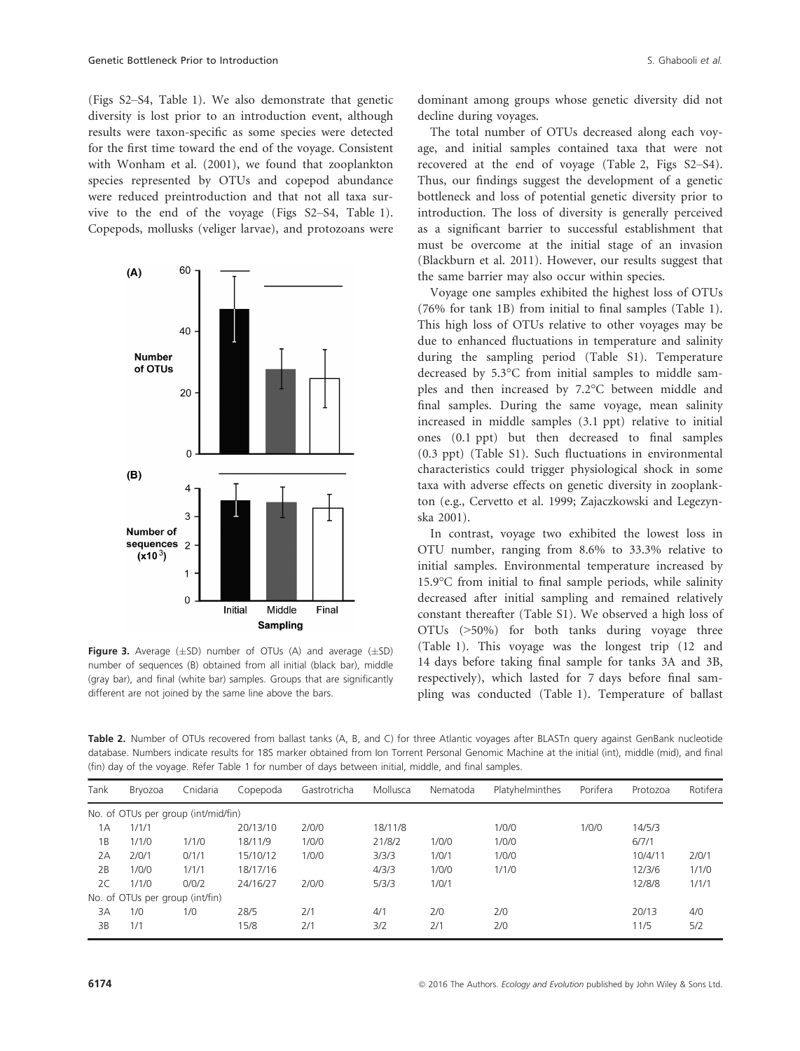(Figs S2–S4, Table 1). We also demonstrate that genetic diversity is lost prior to an introduction event, although results were taxon-specific as some species were detected for the first time toward the end of the voyage. Consistent with Wonham et al. (2001), we found that zooplankton species represented by OTUs and copepod abundance were reduced preintroduction and that not all taxa survive to the end of the voyage (Figs S2–S4, Table 1). Copepods, mollusks (veliger larvae), and protozoans were



**Figure 3.** Average  $(\pm SD)$  number of OTUs (A) and average  $(\pm SD)$ number of sequences (B) obtained from all initial (black bar), middle (gray bar), and final (white bar) samples. Groups that are significantly different are not joined by the same line above the bars.

dominant among groups whose genetic diversity did not decline during voyages.

The total number of OTUs decreased along each voyage, and initial samples contained taxa that were not recovered at the end of voyage (Table 2, Figs S2–S4). Thus, our findings suggest the development of a genetic bottleneck and loss of potential genetic diversity prior to introduction. The loss of diversity is generally perceived as a significant barrier to successful establishment that must be overcome at the initial stage of an invasion (Blackburn et al. 2011). However, our results suggest that the same barrier may also occur within species.

Voyage one samples exhibited the highest loss of OTUs (76% for tank 1B) from initial to final samples (Table 1). This high loss of OTUs relative to other voyages may be due to enhanced fluctuations in temperature and salinity during the sampling period (Table S1). Temperature decreased by 5.3°C from initial samples to middle samples and then increased by 7.2°C between middle and final samples. During the same voyage, mean salinity increased in middle samples (3.1 ppt) relative to initial ones (0.1 ppt) but then decreased to final samples (0.3 ppt) (Table S1). Such fluctuations in environmental characteristics could trigger physiological shock in some taxa with adverse effects on genetic diversity in zooplankton (e.g., Cervetto et al. 1999; Zajaczkowski and Legezynska 2001).

In contrast, voyage two exhibited the lowest loss in OTU number, ranging from 8.6% to 33.3% relative to initial samples. Environmental temperature increased by 15.9°C from initial to final sample periods, while salinity decreased after initial sampling and remained relatively constant thereafter (Table S1). We observed a high loss of OTUs (>50%) for both tanks during voyage three (Table 1). This voyage was the longest trip (12 and 14 days before taking final sample for tanks 3A and 3B, respectively), which lasted for 7 days before final sampling was conducted (Table 1). Temperature of ballast

Table 2. Number of OTUs recovered from ballast tanks (A, B, and C) for three Atlantic voyages after BLASTn query against GenBank nucleotide database. Numbers indicate results for 18S marker obtained from Ion Torrent Personal Genomic Machine at the initial (int), middle (mid), and final (fin) day of the voyage. Refer Table 1 for number of days between initial, middle, and final samples.

| Tank                                | Brvozoa                         | Cnidaria | Copepoda | Gastrotricha | Mollusca | Nematoda | Platyhelminthes | Porifera | Protozoa | Rotifera |
|-------------------------------------|---------------------------------|----------|----------|--------------|----------|----------|-----------------|----------|----------|----------|
| No. of OTUs per group (int/mid/fin) |                                 |          |          |              |          |          |                 |          |          |          |
| 1А                                  | 1/1/1                           |          | 20/13/10 | 2/0/0        | 18/11/8  |          | 1/0/0           | 1/0/0    | 14/5/3   |          |
| 1B                                  | 1/1/0                           | 1/1/0    | 18/11/9  | 1/0/0        | 21/8/2   | 1/0/0    | 1/0/0           |          | 6/7/1    |          |
| 2A                                  | 2/0/1                           | 0/1/1    | 15/10/12 | 1/0/0        | 3/3/3    | 1/0/1    | 1/0/0           |          | 10/4/11  | 2/0/1    |
| 2B                                  | 1/0/0                           | 1/1/1    | 18/17/16 |              | 4/3/3    | 1/0/0    | 1/1/0           |          | 12/3/6   | 1/1/0    |
| 2C                                  | 1/1/0                           | 0/0/2    | 24/16/27 | 2/0/0        | 5/3/3    | 1/0/1    |                 |          | 12/8/8   | 1/1/1    |
|                                     | No. of OTUs per group (int/fin) |          |          |              |          |          |                 |          |          |          |
| 3A                                  | 1/0                             | 1/0      | 28/5     | 2/1          | 4/1      | 2/0      | 2/0             |          | 20/13    | 4/0      |
| 3B                                  | 1/1                             |          | 15/8     | 2/1          | 3/2      | 2/1      | 2/0             |          | 11/5     | 5/2      |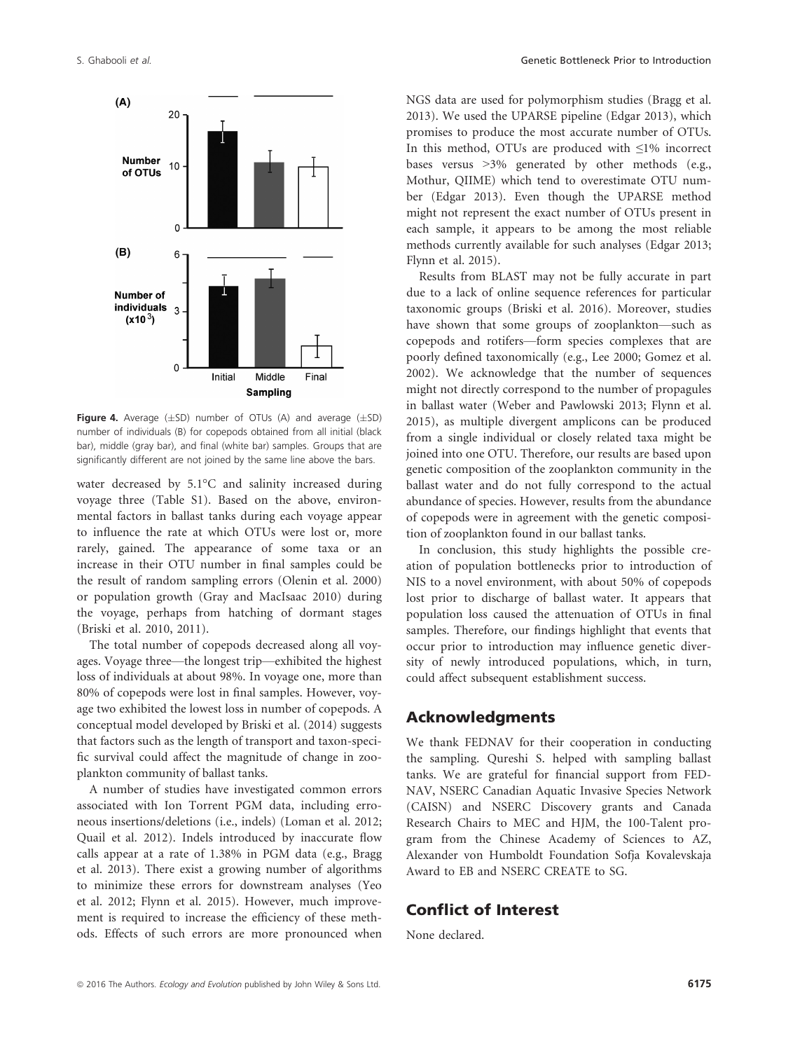

Figure 4. Average  $(\pm SD)$  number of OTUs (A) and average  $(\pm SD)$ number of individuals (B) for copepods obtained from all initial (black bar), middle (gray bar), and final (white bar) samples. Groups that are significantly different are not joined by the same line above the bars.

water decreased by 5.1°C and salinity increased during voyage three (Table S1). Based on the above, environmental factors in ballast tanks during each voyage appear to influence the rate at which OTUs were lost or, more rarely, gained. The appearance of some taxa or an increase in their OTU number in final samples could be the result of random sampling errors (Olenin et al. 2000) or population growth (Gray and MacIsaac 2010) during the voyage, perhaps from hatching of dormant stages (Briski et al. 2010, 2011).

The total number of copepods decreased along all voyages. Voyage three—the longest trip—exhibited the highest loss of individuals at about 98%. In voyage one, more than 80% of copepods were lost in final samples. However, voyage two exhibited the lowest loss in number of copepods. A conceptual model developed by Briski et al. (2014) suggests that factors such as the length of transport and taxon-specific survival could affect the magnitude of change in zooplankton community of ballast tanks.

A number of studies have investigated common errors associated with Ion Torrent PGM data, including erroneous insertions/deletions (i.e., indels) (Loman et al. 2012; Quail et al. 2012). Indels introduced by inaccurate flow calls appear at a rate of 1.38% in PGM data (e.g., Bragg et al. 2013). There exist a growing number of algorithms to minimize these errors for downstream analyses (Yeo et al. 2012; Flynn et al. 2015). However, much improvement is required to increase the efficiency of these methods. Effects of such errors are more pronounced when NGS data are used for polymorphism studies (Bragg et al. 2013). We used the UPARSE pipeline (Edgar 2013), which promises to produce the most accurate number of OTUs. In this method, OTUs are produced with ≤1% incorrect bases versus >3% generated by other methods (e.g., Mothur, QIIME) which tend to overestimate OTU number (Edgar 2013). Even though the UPARSE method might not represent the exact number of OTUs present in each sample, it appears to be among the most reliable methods currently available for such analyses (Edgar 2013; Flynn et al. 2015).

Results from BLAST may not be fully accurate in part due to a lack of online sequence references for particular taxonomic groups (Briski et al. 2016). Moreover, studies have shown that some groups of zooplankton—such as copepods and rotifers—form species complexes that are poorly defined taxonomically (e.g., Lee 2000; Gomez et al. 2002). We acknowledge that the number of sequences might not directly correspond to the number of propagules in ballast water (Weber and Pawlowski 2013; Flynn et al. 2015), as multiple divergent amplicons can be produced from a single individual or closely related taxa might be joined into one OTU. Therefore, our results are based upon genetic composition of the zooplankton community in the ballast water and do not fully correspond to the actual abundance of species. However, results from the abundance of copepods were in agreement with the genetic composition of zooplankton found in our ballast tanks.

In conclusion, this study highlights the possible creation of population bottlenecks prior to introduction of NIS to a novel environment, with about 50% of copepods lost prior to discharge of ballast water. It appears that population loss caused the attenuation of OTUs in final samples. Therefore, our findings highlight that events that occur prior to introduction may influence genetic diversity of newly introduced populations, which, in turn, could affect subsequent establishment success.

### Acknowledgments

We thank FEDNAV for their cooperation in conducting the sampling. Qureshi S. helped with sampling ballast tanks. We are grateful for financial support from FED-NAV, NSERC Canadian Aquatic Invasive Species Network (CAISN) and NSERC Discovery grants and Canada Research Chairs to MEC and HJM, the 100-Talent program from the Chinese Academy of Sciences to AZ, Alexander von Humboldt Foundation Sofja Kovalevskaja Award to EB and NSERC CREATE to SG.

# Conflict of Interest

None declared.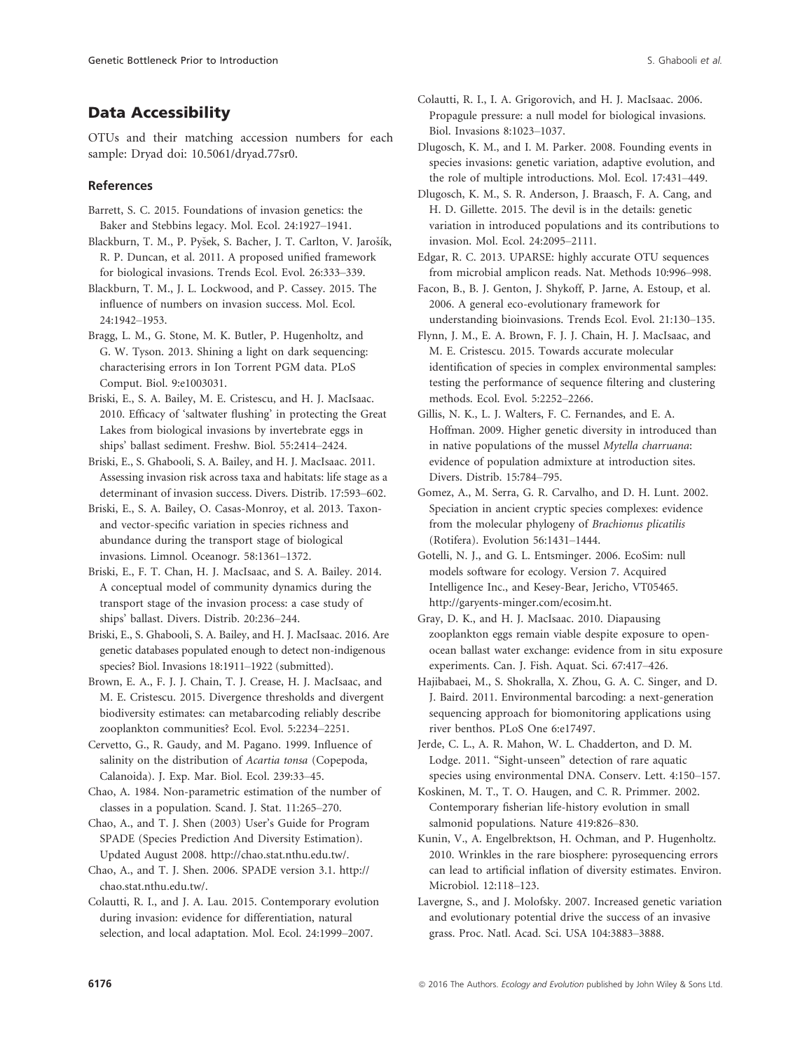# Data Accessibility

OTUs and their matching accession numbers for each sample: Dryad doi: [10.5061/dryad.77sr0.](info:doi/10.5061/dryad.77sr0)

### References

- Barrett, S. C. 2015. Foundations of invasion genetics: the Baker and Stebbins legacy. Mol. Ecol. 24:1927–1941.
- Blackburn, T. M., P. Pyšek, S. Bacher, J. T. Carlton, V. Jarošík, R. P. Duncan, et al. 2011. A proposed unified framework for biological invasions. Trends Ecol. Evol. 26:333–339.
- Blackburn, T. M., J. L. Lockwood, and P. Cassey. 2015. The influence of numbers on invasion success. Mol. Ecol. 24:1942–1953.
- Bragg, L. M., G. Stone, M. K. Butler, P. Hugenholtz, and G. W. Tyson. 2013. Shining a light on dark sequencing: characterising errors in Ion Torrent PGM data. PLoS Comput. Biol. 9:e1003031.
- Briski, E., S. A. Bailey, M. E. Cristescu, and H. J. MacIsaac. 2010. Efficacy of 'saltwater flushing' in protecting the Great Lakes from biological invasions by invertebrate eggs in ships' ballast sediment. Freshw. Biol. 55:2414–2424.
- Briski, E., S. Ghabooli, S. A. Bailey, and H. J. MacIsaac. 2011. Assessing invasion risk across taxa and habitats: life stage as a determinant of invasion success. Divers. Distrib. 17:593–602.
- Briski, E., S. A. Bailey, O. Casas-Monroy, et al. 2013. Taxonand vector-specific variation in species richness and abundance during the transport stage of biological invasions. Limnol. Oceanogr. 58:1361–1372.
- Briski, E., F. T. Chan, H. J. MacIsaac, and S. A. Bailey. 2014. A conceptual model of community dynamics during the transport stage of the invasion process: a case study of ships' ballast. Divers. Distrib. 20:236–244.
- Briski, E., S. Ghabooli, S. A. Bailey, and H. J. MacIsaac. 2016. Are genetic databases populated enough to detect non-indigenous species? Biol. Invasions 18:1911–1922 (submitted).
- Brown, E. A., F. J. J. Chain, T. J. Crease, H. J. MacIsaac, and M. E. Cristescu. 2015. Divergence thresholds and divergent biodiversity estimates: can metabarcoding reliably describe zooplankton communities? Ecol. Evol. 5:2234–2251.
- Cervetto, G., R. Gaudy, and M. Pagano. 1999. Influence of salinity on the distribution of Acartia tonsa (Copepoda, Calanoida). J. Exp. Mar. Biol. Ecol. 239:33–45.
- Chao, A. 1984. Non-parametric estimation of the number of classes in a population. Scand. J. Stat. 11:265–270.
- Chao, A., and T. J. Shen (2003) User's Guide for Program SPADE (Species Prediction And Diversity Estimation). Updated August 2008.<http://chao.stat.nthu.edu.tw/>.
- Chao, A., and T. J. Shen. 2006. SPADE version 3.1. [http://](http://chao.stat.nthu.edu.tw/) [chao.stat.nthu.edu.tw/.](http://chao.stat.nthu.edu.tw/)
- Colautti, R. I., and J. A. Lau. 2015. Contemporary evolution during invasion: evidence for differentiation, natural selection, and local adaptation. Mol. Ecol. 24:1999–2007.
- Colautti, R. I., I. A. Grigorovich, and H. J. MacIsaac. 2006. Propagule pressure: a null model for biological invasions. Biol. Invasions 8:1023–1037.
- Dlugosch, K. M., and I. M. Parker. 2008. Founding events in species invasions: genetic variation, adaptive evolution, and the role of multiple introductions. Mol. Ecol. 17:431–449.
- Dlugosch, K. M., S. R. Anderson, J. Braasch, F. A. Cang, and H. D. Gillette. 2015. The devil is in the details: genetic variation in introduced populations and its contributions to invasion. Mol. Ecol. 24:2095–2111.
- Edgar, R. C. 2013. UPARSE: highly accurate OTU sequences from microbial amplicon reads. Nat. Methods 10:996–998.
- Facon, B., B. J. Genton, J. Shykoff, P. Jarne, A. Estoup, et al. 2006. A general eco-evolutionary framework for understanding bioinvasions. Trends Ecol. Evol. 21:130–135.
- Flynn, J. M., E. A. Brown, F. J. J. Chain, H. J. MacIsaac, and M. E. Cristescu. 2015. Towards accurate molecular identification of species in complex environmental samples: testing the performance of sequence filtering and clustering methods. Ecol. Evol. 5:2252–2266.
- Gillis, N. K., L. J. Walters, F. C. Fernandes, and E. A. Hoffman. 2009. Higher genetic diversity in introduced than in native populations of the mussel Mytella charruana: evidence of population admixture at introduction sites. Divers. Distrib. 15:784–795.
- Gomez, A., M. Serra, G. R. Carvalho, and D. H. Lunt. 2002. Speciation in ancient cryptic species complexes: evidence from the molecular phylogeny of Brachionus plicatilis (Rotifera). Evolution 56:1431–1444.
- Gotelli, N. J., and G. L. Entsminger. 2006. EcoSim: null models software for ecology. Version 7. Acquired Intelligence Inc., and Kesey-Bear, Jericho, VT05465. <http://garyents-minger.com/ecosim.ht>.
- Gray, D. K., and H. J. MacIsaac. 2010. Diapausing zooplankton eggs remain viable despite exposure to openocean ballast water exchange: evidence from in situ exposure experiments. Can. J. Fish. Aquat. Sci. 67:417–426.
- Hajibabaei, M., S. Shokralla, X. Zhou, G. A. C. Singer, and D. J. Baird. 2011. Environmental barcoding: a next-generation sequencing approach for biomonitoring applications using river benthos. PLoS One 6:e17497.
- Jerde, C. L., A. R. Mahon, W. L. Chadderton, and D. M. Lodge. 2011. "Sight-unseen" detection of rare aquatic species using environmental DNA. Conserv. Lett. 4:150–157.
- Koskinen, M. T., T. O. Haugen, and C. R. Primmer. 2002. Contemporary fisherian life-history evolution in small salmonid populations. Nature 419:826–830.
- Kunin, V., A. Engelbrektson, H. Ochman, and P. Hugenholtz. 2010. Wrinkles in the rare biosphere: pyrosequencing errors can lead to artificial inflation of diversity estimates. Environ. Microbiol. 12:118–123.
- Lavergne, S., and J. Molofsky. 2007. Increased genetic variation and evolutionary potential drive the success of an invasive grass. Proc. Natl. Acad. Sci. USA 104:3883–3888.